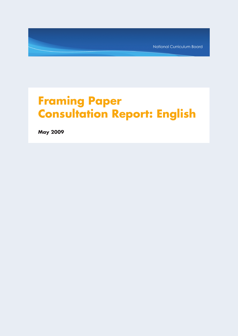National Curriculum Board

# **Framing Paper Consultation Report: English**

**May 2009**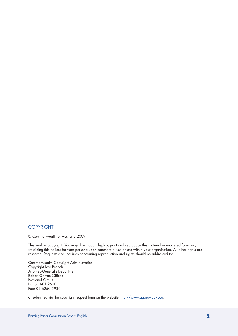# **COPYRIGHT**

© Commonwealth of Australia 2009

This work is copyright. You may download, display, print and reproduce this material in unaltered form only (retaining this notice) for your personal, non-commercial use or use within your organisation. All other rights are reserved. Requests and inquiries concerning reproduction and rights should be addressed to:

Commonwealth Copyright Administration Copyright Law Branch Attorney-General's Department Robert Garran Offices National Circuit Barton ACT 2600 Fax: 02 6250 5989

or submitted via the copyright request form on the website http://www.ag.gov.au/cca.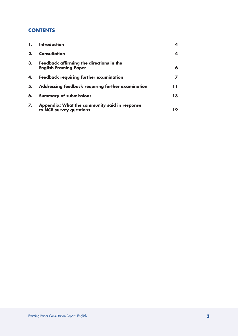# **CONTENTS**

| 1. | <b>Introduction</b>                                                      | 4  |
|----|--------------------------------------------------------------------------|----|
| 2. | Consultation                                                             | 4  |
| 3. | Feedback affirming the directions in the<br><b>English Framing Paper</b> | 6  |
| 4. | <b>Feedback requiring further examination</b>                            |    |
| 5. | Addressing feedback requiring further examination                        | 11 |
| 6. | <b>Summary of submissions</b>                                            | 18 |
| 7. | Appendix: What the community said in response<br>to NCB survey questions | 19 |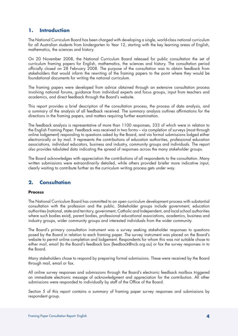# **1. Introduction**

The National Curriculum Board has been charged with developing a single, world-class national curriculum for all Australian students from kindergarten to Year 12, starting with the key learning areas of English, mathematics, the sciences and history.

On 20 November 2008, the National Curriculum Board released for public consultation the set of curriculum framing papers for English, mathematics, the sciences and history. The consultation period officially closed on 28 February 2008. The purpose of the consultation was to obtain feedback from stakeholders that would inform the rewriting of the framing papers to the point where they would be foundational documents for writing the national curriculum.

The framing papers were developed from advice obtained through an extensive consultation process involving national forums, guidance from individual experts and focus groups, input from teachers and academics, and direct feedback through the Board's website.

This report provides a brief description of the consultation process, the process of data analysis, and a summary of the analysis of all feedback received. The summary analysis outlines affirmations for the directions in the framing papers, and matters requiring further examination.

The feedback analysis is representative of more than 1100 responses, 333 of which were in relation to the English Framing Paper. Feedback was received in two forms – via completion of surveys (most through online lodgement) responding to questions asked by the Board, and via formal submissions lodged either electronically or by mail. It represents the contributions of education authorities, professional education associations, individual educators, business and industry, community groups and individuals. The report also provides tabulated data indicating the spread of responses across the many stakeholder groups.

The Board acknowledges with appreciation the contributions of all respondents to the consultation. Many written submissions were extraordinarily detailed, while others provided briefer more indicative input, clearly waiting to contribute further as the curriculum writing process gets under way.

# **2. Consultation**

# **Process**

The National Curriculum Board has committed to an open curriculum development process with substantial consultation with the profession and the public. Stakeholder groups include government, education authorities (national, state and territory, government, Catholic and Independent, and local school authorities where such bodies exist), parent bodies, professional educational associations, academics, business and industry groups, wider community groups and interested individuals from the wider community.

The Board's primary consultation instrument was a survey seeking stakeholder responses to questions posed by the Board in relation to each framing paper. The survey instrument was placed on the Board's website to permit online completion and lodgement. Respondents for whom this was not suitable chose to either mail, email (to the Board's feedback box (feedback@ncb.org.au) or fax the survey responses in to the Board.

Many stakeholders chose to respond by preparing formal submissions. These were received by the Board through mail, email or fax.

All online survey responses and submissions through the Board's electronic feedback mailbox triggered an immediate electronic message of acknowledgment and appreciation for the contribution. All other submissions were responded to individually by staff of the Office of the Board.

Section 5 of this report contains a summary of framing paper survey responses and submissions by respondent group.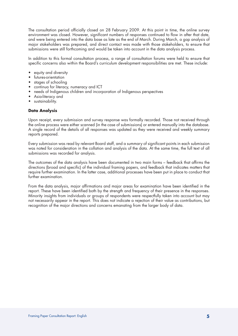The consultation period officially closed on 28 February 2009. At this point in time, the online survey environment was closed. However, significant numbers of responses continued to flow in after that date, and were being entered into the data base as late as the end of March. During March, a gap analysis of major stakeholders was prepared, and direct contact was made with those stakeholders, to ensure that submissions were still forthcoming and would be taken into account in the data analysis process.

In addition to this formal consultation process, a range of consultation forums were held to ensure that specific concerns also within the Board's curriculum development responsibilities are met. These include:

- equity and diversity
- futures-orientation
- stages of schooling
- continua for literacy, numeracy and ICT
- needs of Indigenous children and incorporation of Indigenous perspectives
- Asia-literacy and
- sustainability.

# **Data Analysis**

Upon receipt, every submission and survey response was formally recorded. Those not received through the online process were either scanned (in the case of submissions) or entered manually into the database. A single record of the details of all responses was updated as they were received and weekly summary reports prepared.

Every submission was read by relevant Board staff, and a summary of significant points in each submission was noted for consideration in the collation and analysis of the data. At the same time, the full text of all submissions was recorded for analysis.

The outcomes of the data analysis have been documented in two main forms – feedback that affirms the directions (broad and specific) of the individual framing papers, and feedback that indicates matters that require further examination. In the latter case, additional processes have been put in place to conduct that further examination.

From the data analysis, major affirmations and major areas for examination have been identified in the report. These have been identified both by the strength and frequency of their presence in the responses. Minority insights from individuals or groups of respondents were respectfully taken into account but may not necessarily appear in the report. This does not indicate a rejection of their value as contributions, but recognition of the major directions and concerns emanating from the larger body of data.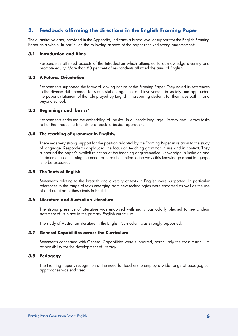# **3. Feedback affirming the directions in the English Framing Paper**

The quantitative data, provided in the Appendix, indicates a broad level of support for the English Framing Paper as a whole. In particular, the following aspects of the paper received strong endorsement:

# **3.1 Introduction and Aims**

Respondents affirmed aspects of the Introduction which attempted to acknowledge diversity and promote equity. More than 80 per cent of respondents affirmed the aims of English.

# **3.2 A Futures Orientation**

Respondents supported the forward looking nature of the Framing Paper. They noted its references to the diverse skills needed for successful engagement and involvement in society and applauded the paper's statement of the role played by English in preparing students for their lives both in and beyond school.

#### **3.3 Beginnings and 'basics'**

Respondents endorsed the embedding of 'basics' in authentic language, literacy and literacy tasks rather than reducing English to a 'back to basics' approach.

# **3.4 The teaching of grammar in English.**

There was very strong support for the position adopted by the Framing Paper in relation to the study of language. Respondents applauded the focus on teaching grammar in use and in context. They supported the paper's explicit rejection of the teaching of grammatical knowledge in isolation and its statements concerning the need for careful attention to the ways this knowledge about language is to be assessed.

#### **3.5 The Texts of English**

Statements relating to the breadth and diversity of texts in English were supported. In particular references to the range of texts emerging from new technologies were endorsed as well as the use of and creation of these texts in English.

#### **3.6 Literature and Australian Literature**

The strong presence of Literature was endorsed with many particularly pleased to see a clear statement of its place in the primary English curriculum.

The study of Australian literature in the English Curriculum was strongly supported.

#### **3.7 General Capabilities across the Curriculum**

Statements concerned with General Capabilities were supported, particularly the cross curriculum responsibility for the development of literacy.

# **3.8 Pedagogy**

The Framing Paper's recognition of the need for teachers to employ a wide range of pedagogical approaches was endorsed.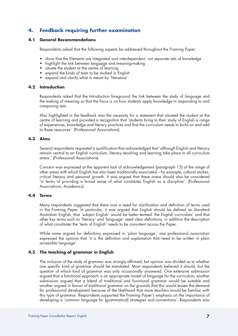# **4. Feedback requiring further examination**

# **4.1 General Recommendations**

Respondents asked that the following aspects be addressed throughout the Framing Paper:

- show that the Elements are integrated and interdependent, not separate sets of knowledge
- highlight the link between language and meaning-making
- situate the student at the centre of learning
- expand the kinds of texts to be studied in English
- expand and clarify what is meant by 'literature'.

# **4.2 Introduction**

Respondents asked that the Introduction foreground the link between the study of language and the making of meaning so that the focus is on how students apply knowledge in responding to and composing text.

Also highlighted in the feedback was the necessity for a statement that situated the student at the centre of learning and provided a recognition that 'students bring to their study of English a range of experiences, knowledge and literary practices and that the curriculum needs to build on and add to these resources'. (Professional Associations)

# **4.3 Aims**

Several respondents requested a qualification that acknowledged that 'although English and literacy remain central to an English curriculum, literacy teaching and learning take place in all curriculum areas.' (Professional Associations)

Concern was expressed at the apparent lack of acknowledgement (paragraph 15) of the range of other areas with which English has also been traditionally associated – for example, cultural studies, critical literacy and personal growth. It was argued that these areas should also be considered 'in terms of providing a broad sense of what constitutes English as a discipline'. (Professional Associations, Academics)

# **4.4 Terms**

Many respondents suggested that there was a need for clarification and definition of terms used in the Framing Paper. In particular, it was argued that English should be defined as Standard Australian English, that 'subject English' would be better termed 'the English curriculum' and that other key terms such as 'literacy' and 'language' need clear definitions; in addition the description of what constitutes the 'texts of English' needs to be consistent across the Paper.

While some argued for definitions expressed in 'plain language', one professional association expressed the opinion that 'it is the definition and explanation that need to be written in plain accessible language'.

# **4.5 The teaching of grammar in English**

The inclusion of the study of grammar was strongly affirmed, but opinion was divided as to whether one specific kind of grammar should be mandated. Most respondents believed it should, but the question of which kind of grammar was only occasionally answered. One extensive submission argued that a functional approach is an appropriate model of language for the curriculum; another submission argued that a blend of traditional and functional grammar would be suitable and another argued in favour of traditional grammar on the grounds that this would lessen the demand for professional development because of the likelihood that more teachers would be familiar with this type of grammar. Respondents supported the Framing Paper's emphasis on the importance of developing a 'common language for (grammatical) strategies and conventions'. Respondents also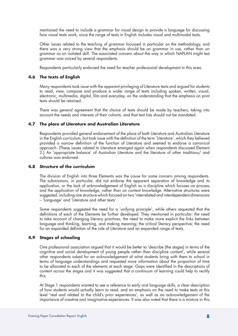mentioned the need to include a grammar for visual design to provide a language for discussing how visual texts work, since the range of texts in English includes visual and multimodal texts.

Other issues related to the teaching of grammar focussed in particular on the methodology, and there was a very strong view that the emphasis should be on grammar in use, rather than on grammar as an isolated skill. The associated concern about the way in which NAPLAN might test grammar was voiced by several respondents.

Respondents particularly endorsed the need for teacher professional development in this area.

# **4.6 The texts of English**

Many respondents took issue with the apparent privileging of Literature texts and argued for students to read, view, compose and produce a wider range of texts including spoken, written, visual, electronic, multimedia, digital, film and everyday, on the understanding that the emphasis on print texts should be retained.

There was general agreement that the choice of texts should be made by teachers, taking into account the needs and interests of their cohorts, and that text lists should not be mandated.

# **4.7 The place of Literature and Australian Literature**

Respondents provided general endorsement of the place of both Literature and Australian Literature in the English curriculum, but took issue with the definition of the term 'Literature', which they believed provided a narrow definition of the function of Literature and seemed to endorse a canonical approach. (These issues related to Literature emerged again when respondents discussed Element 2.) An 'appropriate balance' of Australian Literature and the literature of other traditions/ and cultures was endorsed.

# **4.8 Structure of the curriculum**

The division of English into three Elements was the cause for some concern among respondents. The submissions, in particular, did not endorse the apparent separation of knowledge and its application, or the lack of acknowledgement of English as a discipline which focuses on process and the application of knowledge, rather than on content knowledge. Alternative structures were suggested, including one structure which focused on two 'interrelated and interdependent dimensions – 'Language' and 'Literature and other texts'.

Some respondents suggested the need for a 'unifying principle', while others requested that the definitions of each of the Elements be further developed. They mentioned in particular: the need to take account of changing literacy practices, the need to make more explicit the links between language and thinking, learning, and making meaning; the critical literacy perspective; the need for an expanded definition of the role of Literature and an expanded range of texts.

# **4.9 Stages of schooling**

One professional association argued that it would be better to 'describe (the stages) in terms of the cognitive and social development of young people rather than discipline content', while several other respondents asked for an acknowledgement of what students bring with them to school in terms of language understandings and requested more information about the proportion of time to be allocated to each of the elements at each stage. Gaps were identified in the descriptions of content across the stages and it was suggested that a continuum of learning could help to rectify this.

At Stage 1 respondents wanted to see a reference to early oral language skills, a clear description of how students would actually learn to read, and an emphasis on the need to make texts at this level 'real and related to the child's prior experiences', as well as an acknowledgement of the importance of creative and imaginative experiences. It was also noted that there is a mixture in this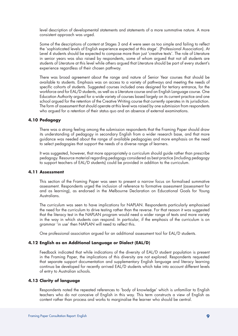level description of developmental statements and statements of a more summative nature. A more consistent approach was urged.

Some of the descriptions of content at Stages 3 and 4 were seen as too simple and failing to reflect the 'sophisticated levels of English experience expected at this stage'. (Professional Association). At Level 4 students should be expected to compose more than just 'creative texts'. The role of Literature in senior years was also raised by respondents, some of whom argued that not all students are students of Literature at this level while others argued that Literature should be part of every student's experience regardless of their chosen pathway.

There was broad agreement about the range and nature of Senior Year courses that should be available to students. Emphasis was on access to a variety of pathways and meeting the needs of specific cohorts of students. Suggested courses included ones designed for tertiary entrance, for the workforce and for EAL/D students, as well as a Literature course and an English Language course. One Education Authority argued for a wide variety of courses based largely on its current practice and one school argued for the retention of the Creative Writing course that currently operates in its jurisdiction. The form of assessment that should operate at this level was raised by one submission from respondents who argued for a retention of their status quo and an absence of external examinations.

# **4.10 Pedagogy**

There was a strong feeling among the submission respondents that the Framing Paper should draw its understanding of pedagogy in secondary English from a wider research base, and that more guidance was needed about the range of available pedagogies and more emphasis on the need to select pedagogies that support the needs of a diverse range of learners.

It was suggested, however, that more appropriately a curriculum should guide rather than prescribe pedagogy. Resource material regarding pedagogy considered as best practice (including pedagogy to support teachers of EAL/D students) could be provided in addition to the curriculum.

# **4.11 Assessment**

This section of the Framing Paper was seen to present a narrow focus on formalised summative assessment. Respondents urged the inclusion of reference to formative assessment (assessment for and as learning), as endorsed in the Melbourne Declaration on Educational Goals for Young Australians.

The curriculum was seen to have implications for NAPLAN. Respondents particularly emphasised the need for the curriculum to drive testing rather than the reverse. For that reason it was suggested that the literacy test in the NAPLAN program would need a wider range of texts and more variety in the way in which students can respond. In particular, if the emphasis of the curriculum is on grammar 'in use' then NAPLAN will need to reflect this.

One professional association argued for an additional assessment tool for EAL/D students.

# **4.12 English as an Additional Language or Dialect (EAL/D)**

Feedback indicated that while indications of the diversity of EAL/D student population is present in the Framing Paper, the implications of this diversity are not explored. Respondents requested that separate support documentation and supplementary English language and literacy learning continua be developed for recently arrived EAL/D students which take into account different levels of entry to Australian schools.

# **4.13 Clarity of language**

Respondents noted the repeated references to 'body of knowledge' which is unfamiliar to English teachers who do not conceive of English in this way. This term constructs a view of English as content rather than process and works to marginalise the learner who should be central.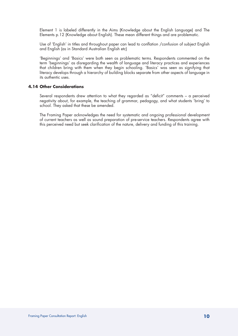Element 1 is labeled differently in the Aims (Knowledge about the English Language) and The Elements p.12 (Knowledge about English). These mean different things and are problematic.

Use of 'English' in titles and throughout paper can lead to conflation /confusion of subject English and English (as in Standard Australian English etc)

'Beginnings' and 'Basics' were both seen as problematic terms. Respondents commented on the term 'beginnings' as disregarding the wealth of language and literacy practices and experiences that children bring with them when they begin schooling. 'Basics' was seen as signifying that literacy develops through a hierarchy of building blocks separate from other aspects of language in its authentic uses.

# **4.14 Other Considerations**

Several respondents drew attention to what they regarded as "deficit" comments – a perceived negativity about, for example, the teaching of grammar, pedagogy, and what students 'bring' to school. They asked that these be amended.

The Framing Paper acknowledges the need for systematic and ongoing professional development of current teachers as well as sound preparation of pre-service teachers. Respondents agree with this perceived need but seek clarification of the nature, delivery and funding of this training.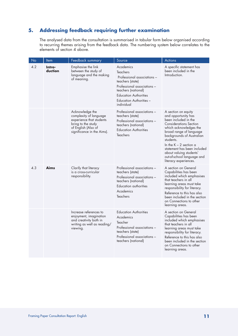# **5. Addressing feedback requiring further examination**

The analysed data from the consultation is summarised in tabular form below organised according to recurring themes arising from the feedback data. The numbering system below correlates to the elements of section 4 above.

| No  | <b>Item</b>       | Feedback summary                                                                                                                                 | Source                                                                                                                                                                                                                | Actions                                                                                                                                                                                                                                                                                                                                         |
|-----|-------------------|--------------------------------------------------------------------------------------------------------------------------------------------------|-----------------------------------------------------------------------------------------------------------------------------------------------------------------------------------------------------------------------|-------------------------------------------------------------------------------------------------------------------------------------------------------------------------------------------------------------------------------------------------------------------------------------------------------------------------------------------------|
| 4.2 | Intro-<br>duction | Emphasise the link<br>between the study of<br>language and the making<br>of meaning.                                                             | Academics<br><b>Teachers</b><br>Professional associations -<br>teachers (state)<br>Professional associations -<br>teachers (national)<br><b>Education Authorities</b><br><b>Education Authorities -</b><br>individual | A specific statement has<br>been included in the<br>Introduction.                                                                                                                                                                                                                                                                               |
|     |                   | Acknowledge the<br>complexity of language<br>experience that students<br>bring to the study<br>of English (Also of<br>significance in the Aims). | Professional associations -<br>teachers (state)<br>Professional associations -<br>teachers (national)<br><b>Education Authorities</b><br><b>Teachers</b>                                                              | A section on equity<br>and opportunity has<br>been included in the<br><b>Considerations Section</b><br>which acknowledges the<br>broad range of language<br>backgrounds of Australian<br>students.<br>In the $K - 2$ section a<br>statement has been included<br>about valuing students'<br>out-of-school language and<br>literacy experiences. |
| 4.3 | <b>Aims</b>       | Clarify that literacy<br>is a cross-curricular<br>responsibility.                                                                                | Professional associations -<br>teachers (state)<br>Professional associations -<br>teachers (national)<br>Education authorities<br>Academics<br><b>Teachers</b>                                                        | A section on General<br>Capabilities has been<br>included which emphasises<br>that teachers in all<br>learning areas must take<br>responsibility for literacy.<br>Reference to this has also<br>been included in the section<br>on Connections to other<br>learning areas.                                                                      |
|     |                   | Increase references to<br>enjoyment, imagination<br>and creativity both in<br>writing as well as reading/<br>viewing.                            | <b>Education Authorities</b><br>Academics<br>Teacher<br>Professional associations -<br>teachers (state)<br>Professional associations -<br>teachers (national)                                                         | A section on General<br>Capabilities has been<br>included which emphasises<br>that teachers in all<br>learning areas must take<br>responsibility for literacy.<br>Reference to this has also<br>been included in the section<br>on Connections to other<br>learning areas.                                                                      |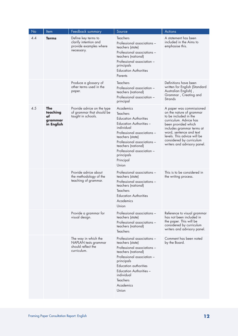| No  | Item                                           | Feedback summary                                                                     | Source                                                                                                                                                                                                                                                                           | Actions                                                                                                                                                                                                                                                                          |
|-----|------------------------------------------------|--------------------------------------------------------------------------------------|----------------------------------------------------------------------------------------------------------------------------------------------------------------------------------------------------------------------------------------------------------------------------------|----------------------------------------------------------------------------------------------------------------------------------------------------------------------------------------------------------------------------------------------------------------------------------|
| 4.4 | <b>Terms</b>                                   | Define key terms to<br>clarify intention and<br>provide examples where<br>necessary. | Teachers<br>Professional associations -<br>teachers (state)<br>Professional associations -<br>teachers (national)<br>Professional association -<br>principals<br><b>Education Authorities</b><br>Parents                                                                         | A statement has been<br>included in the Aims to<br>emphasise this.                                                                                                                                                                                                               |
|     |                                                | Produce a glossary of<br>other terms used in the<br>paper.                           | <b>Teachers</b><br>Professional association -<br>teachers (national)<br>Professional association -<br>principal                                                                                                                                                                  | Definitions have been<br>written for English (Standard<br>Australian English),<br>Grammar, Creating and<br>Strands                                                                                                                                                               |
| 4.5 | The<br>teaching<br>of<br>grammar<br>in English | Provide advice on the type<br>of grammar that should be<br>taught in schools.        | Academics<br>Teachers<br><b>Education Authorities</b><br><b>Education Authorities -</b><br>individual<br>Professional associations -<br>teachers (state)<br>Professional associations -<br>teachers (national)<br>Professional association -<br>principals<br>Principal<br>Union | A paper was commissioned<br>on the nature of grammar<br>to be included in the<br>curriculum. Advice has<br>been provided which<br>includes grammar terms at<br>word, sentence and text<br>levels. This advice will be<br>considered by curriculum<br>writers and advisory panel. |
|     |                                                | Provide advice about<br>the methodology of the<br>teaching of grammar.               | Professional associations -<br>teachers (state)<br>Professional associations -<br>teachers (national)<br><b>Teachers</b><br><b>Education Authorities</b><br>Academics<br>Union                                                                                                   | This is to be considered in<br>the writing process.                                                                                                                                                                                                                              |
|     |                                                | Provide a grammar for<br>visual design.                                              | Professional associations -<br>teachers (state)<br>Professional associations -<br>teachers (national)<br><b>Teachers</b>                                                                                                                                                         | Reference to visual grammar<br>has not been included in<br>the paper. This will be<br>considered by curriculum<br>writers and advisory panel.                                                                                                                                    |
|     |                                                | The way in which the<br>NAPLAN tests grammar<br>should reflect the<br>curriculum.    | Professional associations -<br>teachers (state)<br>Professional associations -<br>teachers (national)<br>Professional association -<br>principals<br><b>Education authorities</b><br><b>Education Authorities -</b><br>individual<br>Teachers<br>Academics<br>Union              | Comment has been noted<br>by the Board.                                                                                                                                                                                                                                          |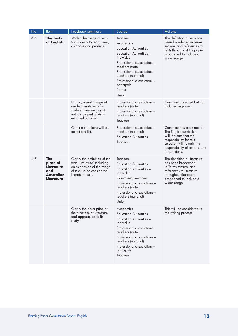| No  | Item                                                                    | Feedback summary                                                                                                                            | Source                                                                                                                                                                                                                                                                        | <b>Actions</b>                                                                                                                                                                         |
|-----|-------------------------------------------------------------------------|---------------------------------------------------------------------------------------------------------------------------------------------|-------------------------------------------------------------------------------------------------------------------------------------------------------------------------------------------------------------------------------------------------------------------------------|----------------------------------------------------------------------------------------------------------------------------------------------------------------------------------------|
| 4.6 | The texts<br>of English                                                 | Widen the range of texts<br>for students to read, view,<br>compose and produce.                                                             | <b>Teachers</b><br>Academics<br><b>Education Authorities</b><br>Education Authorities -<br>individual<br>Professional associations -<br>teachers (state)<br>Professional associations -<br>teachers (national)<br>Professional association -<br>principals<br>Parent<br>Union | The definition of texts has<br>been broadened in Terms<br>section, and references to<br>texts throughout the paper<br>broadened to include a<br>wider range.                           |
|     |                                                                         | Drama, visual images etc<br>are legitimate texts for<br>study in their own right<br>not just as part of Arts-<br>enriched activities.       | Professional association -<br>teachers (state)<br>Professional association -<br>teachers (national)<br>Teachers                                                                                                                                                               | Comment accepted but not<br>included in paper.                                                                                                                                         |
|     |                                                                         | Confirm that there will be<br>no set text list.                                                                                             | Professional associations -<br>teachers (national)<br><b>Education Authorities</b><br><b>Teachers</b>                                                                                                                                                                         | Comment has been noted.<br>The English curriculum<br>will indicate that the<br>responsibility for text<br>selection will remain the<br>responsibility of schools and<br>jurisdictions. |
| 4.7 | The<br>place of<br>Literature<br>and<br><b>Australian</b><br>Literature | Clarify the definition of the<br>term 'Literature' including<br>an expansion of the range<br>of texts to be considered<br>Literature texts. | <b>Teachers</b><br><b>Education Authorities</b><br>Education Authorities -<br>individual<br>Community members<br>Professional associations -<br>teachers (state)<br>Professional associations -<br>teachers (national)<br>Union                                               | The definition of literature<br>has been broadened<br>in Terms section, and<br>references to literature<br>throughout the paper<br>broadened to include a<br>wider range.              |
|     |                                                                         | Clarify the description of<br>the functions of Literature<br>and approaches to its<br>study.                                                | Academics<br><b>Education Authorities</b><br><b>Education Authorities -</b><br>individual<br>Professional associations -<br>teachers (state)<br>Professional associations -<br>teachers (national)<br>Professional association -<br>principals<br>Teachers                    | This will be considered in<br>the writing process                                                                                                                                      |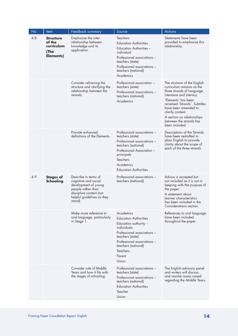| No  | Item                                                          | Feedback summary                                                                                                                                               | Source                                                                                                                                                                                                                           | Actions                                                                                                                                                                                                                                                                                           |
|-----|---------------------------------------------------------------|----------------------------------------------------------------------------------------------------------------------------------------------------------------|----------------------------------------------------------------------------------------------------------------------------------------------------------------------------------------------------------------------------------|---------------------------------------------------------------------------------------------------------------------------------------------------------------------------------------------------------------------------------------------------------------------------------------------------|
| 4.8 | <b>Structure</b><br>of the<br>curriculum<br>(The<br>Elements) | Emphasise the inter-<br>relationship between<br>knowledge and its<br>application.                                                                              | <b>Teachers</b><br><b>Education Authorities</b><br><b>Education Authorities -</b><br>individual<br>Professional associations -<br>teachers (state)<br>Professional associations -<br>teachers (national)<br>Academics            | Statements have been<br>provided to emphasise this<br>relationship.                                                                                                                                                                                                                               |
|     |                                                               | Consider reframing the<br>structure and clarifying the<br>relationship between the<br>strands.                                                                 | Professional association -<br>teachers (state)<br>Professional associations -<br>teachers (national)<br>Academics                                                                                                                | The structure of the English<br>curriculum remains as the<br>three strands of Language,<br>Literature and Literacy.<br>'Elements' has been<br>renamed 'Strands'. Subtitles<br>have been amended to<br>clarify content.<br>A section on relationships<br>between the strands has<br>been included. |
|     |                                                               | Provide enhanced<br>definitions of the Elements.                                                                                                               | Professional associations -<br>teachers (state)<br>Professional associations -<br>teachers (national)<br>Professional Association -<br>principals<br><b>Teachers</b><br>Academics<br><b>Education Authorities</b>                | Descriptions of the Strands<br>have been redrafted in<br>plain English to provide<br>clarity about the scope of<br>each of the three strands.                                                                                                                                                     |
| 4.9 | <b>Stages of</b><br><b>Schooling</b>                          | Describe in terms of<br>cognitive and social<br>development of young<br>people rather than<br>discipline content (not<br>helpful guidelines as they<br>stand). | Professional associations -<br>teachers (national)                                                                                                                                                                               | Advice is accepted but<br>not included as it is not in<br>keeping with the purpose of<br>the paper.<br>A statement about<br>learner characteristics<br>has been included in the<br>Considerations section.                                                                                        |
|     |                                                               | Make more reference to<br>oral language, particularly<br>in Stage 1.                                                                                           | Academics<br><b>Education Authorities</b><br>Education authority -<br>individuals<br>Professional associations -<br>teachers (state)<br>Professional associations -<br>teachers (national)<br><b>Teachers</b><br>Parent<br>Union | References to oral language<br>have been included<br>throughout the paper.                                                                                                                                                                                                                        |
|     |                                                               | Consider role of Middle<br>Years and how it fits with<br>the stages of schooling.                                                                              | Professional associations -<br>teachers (state)<br>Professional associations -<br>teachers (national)<br><b>Education Authorities</b><br>Teacher<br>Union                                                                        | The English advisory panel<br>and writers will discuss<br>and resolve issues raised<br>regarding the Middle Years.                                                                                                                                                                                |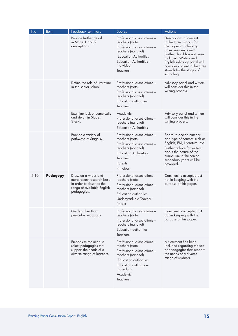| No   | Item            | Feedback summary                                                                                                          | Source                                                                                                                                                                                                   | <b>Actions</b>                                                                                                                                                                                                                                                           |
|------|-----------------|---------------------------------------------------------------------------------------------------------------------------|----------------------------------------------------------------------------------------------------------------------------------------------------------------------------------------------------------|--------------------------------------------------------------------------------------------------------------------------------------------------------------------------------------------------------------------------------------------------------------------------|
|      |                 | Provide further detail<br>in Stage 1 and 2<br>descriptions.                                                               | Professional associations -<br>teachers (state)<br>Professional associations -<br>teachers (national)<br><b>Education Authorities</b><br><b>Education Authorities -</b><br>individual<br><b>Teachers</b> | Descriptions of content<br>in the three strands for<br>the stages of schooling<br>have been reviewed.<br>Further detail has not been<br>included. Writers and<br>English advisory panel will<br>consider content in the three<br>strands for the stages of<br>schooling. |
|      |                 | Define the role of Literature<br>in the senior school.                                                                    | Professional associations -<br>teachers (state)<br>Professional associations -<br>teachers (national)<br><b>Education authorities</b><br><b>Teachers</b>                                                 | Advisory panel and writers<br>will consider this in the<br>writing process.                                                                                                                                                                                              |
|      |                 | Examine lack of complexity<br>and detail in Stages<br>384.                                                                | Academic<br>Professional associations -<br>teachers (national)<br><b>Education Authorities</b>                                                                                                           | Advisory panel and writers<br>will consider this in the<br>writing process.                                                                                                                                                                                              |
|      |                 | Provide a variety of<br>pathways at Stage 4.                                                                              | Professional associations -<br>teachers (state)<br>Professional associations -<br>teachers (national)<br><b>Education Authorities</b><br>Teachers<br>Parents<br>Principal                                | Board to decide number<br>and type of courses such as<br>English, ESL, Literature, etc.<br>Further advice for writers<br>about the nature of the<br>curriculum in the senior<br>secondary years will be<br>provided.                                                     |
| 4.10 | <b>Pedagogy</b> | Draw on a wider and<br>more recent research base<br>in order to describe the<br>range of available English<br>pedagogies. | Professional associations -<br>teachers (state)<br>Professional associations -<br>teachers (national)<br>Education authorities<br>Undergraduate Teacher<br>Parent                                        | Comment is accepted but<br>not in keeping with the<br>purpose of this paper.                                                                                                                                                                                             |
|      |                 | Guide rather than<br>prescribe pedagogy.                                                                                  | Professional associations -<br>teachers (state)<br>Professional associations -<br>teachers (national)<br>Education authorities<br>Teachers                                                               | Comment is accepted but<br>not in keeping with the<br>purpose of this paper.                                                                                                                                                                                             |
|      |                 | Emphasise the need to<br>select pedagogies that<br>support the needs of a<br>diverse range of learners.                   | Professional associations -<br>teachers (state)<br>Professional associations -<br>teachers (national)<br>Education authorities<br>Education authority -<br>individuals<br>Academic<br><b>Teachers</b>    | A statement has been<br>included regarding the use<br>of pedagogies that support<br>the needs of a diverse<br>range of students.                                                                                                                                         |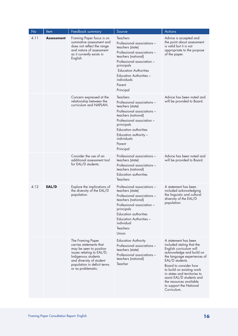| <b>No</b> | Item              | Feedback summary                                                                                                                                                                                             | Source                                                                                                                                                                                                                                                                       | <b>Actions</b>                                                                                                                                                                                                                                                                                                                                     |
|-----------|-------------------|--------------------------------------------------------------------------------------------------------------------------------------------------------------------------------------------------------------|------------------------------------------------------------------------------------------------------------------------------------------------------------------------------------------------------------------------------------------------------------------------------|----------------------------------------------------------------------------------------------------------------------------------------------------------------------------------------------------------------------------------------------------------------------------------------------------------------------------------------------------|
| 4.11      | <b>Assessment</b> | Framing Paper focus is on<br>summative assessment and<br>does not reflect the range<br>and nature of assessment<br>as it currently exists in<br>English.                                                     | <b>Teachers</b><br>Professional associations -<br>teachers (state)<br>Professional associations -<br>teachers (national)<br>Professional association -<br>principals<br><b>Education Authorities</b><br><b>Education Authorities -</b><br>individuals<br>Parent<br>Principal | Advice is accepted and<br>the point about assessment<br>is valid but it is not<br>appropriate to the purpose<br>of the paper.                                                                                                                                                                                                                      |
|           |                   | Concern expressed at the<br>relationship between the<br>curriculum and NAPLAN.                                                                                                                               | Teachers<br>Professional associations -<br>teachers (state)<br>Professional associations -<br>teachers (national)<br>Professional association -<br>principals<br><b>Education authorities</b><br>Education authority -<br>individuals<br>Parent<br>Principal                 | Advice has been noted and<br>will be provided to Board.                                                                                                                                                                                                                                                                                            |
|           |                   | Consider the use of an<br>additional assessment tool<br>for EAL/D students.                                                                                                                                  | Professional associations -<br>teachers (state)<br>Professional associations -<br>teachers (national)<br><b>Education authorities</b><br><b>Teachers</b>                                                                                                                     | Advice has been noted and<br>will be provided to Board.                                                                                                                                                                                                                                                                                            |
| 4.12      | EAL/D             | Explore the implications of<br>the diversity of the EAL/D<br>population.                                                                                                                                     | Professional associations -<br>teachers (state)<br>Professional associations -<br>teachers (national)<br>Professional association -<br>principals<br><b>Education authorities</b><br>Education Authorities -<br>individual<br><b>Teachers</b><br>Union                       | A statement has been<br>included acknowledging<br>the linguistic and cultural<br>diversity of the EAL/D<br>population.                                                                                                                                                                                                                             |
|           |                   | The Framing Paper<br>carries statements that<br>may be seen to position<br>issues relating to EAL/D,<br>Indigenous students<br>and diversity of student<br>population in deficit terms<br>or as problematic. | <b>Education Authority</b><br>Professional associations -<br>teachers (state)<br>Professional associations -<br>teachers (national)<br>Teacher                                                                                                                               | A statement has been<br>included stating that the<br>English curriculum will<br>acknowledge and build on<br>the language experiences of<br>EAL/D students.<br>Board to consider how<br>to build on existing work<br>in states and territories to<br>assist EAL/D students and<br>the resources available<br>to support the National<br>Curriculum. |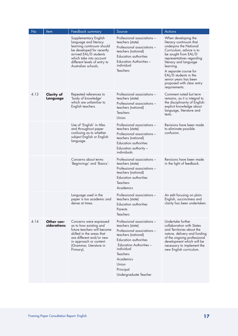| No   | Item                          | Feedback summary                                                                                                                                                                                                     | Source                                                                                                                                                                                                                                                        | <b>Actions</b>                                                                                                                                                                                                                                                                                                           |
|------|-------------------------------|----------------------------------------------------------------------------------------------------------------------------------------------------------------------------------------------------------------------|---------------------------------------------------------------------------------------------------------------------------------------------------------------------------------------------------------------------------------------------------------------|--------------------------------------------------------------------------------------------------------------------------------------------------------------------------------------------------------------------------------------------------------------------------------------------------------------------------|
|      |                               | Supplementary English<br>language and literacy<br>learning continuum should<br>be developed for recently<br>arrived EAL/D students<br>which take into account<br>different levels of entry to<br>Australian schools. | Professional associations -<br>teachers (state)<br>Professional associations -<br>teachers (national)<br>Education authorities<br>Education Authorities -<br>individual<br>Teachers                                                                           | When developing the<br>literacy continuum that<br>underpins the National<br>Curriculum, advice is to<br>be sought from EAL/D<br>representatives regarding<br>literacy and language<br>learning.<br>A separate course for<br>EAL/D students in the<br>senior years has been<br>proposed with clear entry<br>requirements. |
| 4.13 | <b>Clarity of</b><br>Language | Repeated references to<br>'body of knowledge'<br>which are unfamiliar to<br>English teachers.                                                                                                                        | Professional associations -<br>teachers (state)<br>Professional associations -<br>teachers (national)<br><b>Teachers</b><br>Union                                                                                                                             | Comment noted but term<br>remains, as it is integral to<br>the disciplinarity of English:<br>explicit knowledge about<br>language, literature and<br>texts.                                                                                                                                                              |
|      |                               | Use of 'English' in titles<br>and throughout paper<br>confusing as to whether<br>subject English or English<br>language.                                                                                             | Professional associations -<br>teachers (state)<br>Professional associations -<br>teachers (national)<br><b>Education authorities</b><br>Education authority -<br>individuals                                                                                 | Revisions have been made<br>to eliminate possible<br>confusion.                                                                                                                                                                                                                                                          |
|      |                               | Concerns about terms<br>'Beginnings' and 'Basics'.                                                                                                                                                                   | Professional associations -<br>teachers (state)<br>Professional associations -<br>teachers (national)<br><b>Education authorities</b><br>Teachers<br>Academics                                                                                                | Revisions have been made<br>in the light of feedback.                                                                                                                                                                                                                                                                    |
|      |                               | Language used in the<br>paper is too academic and<br>dense at times.                                                                                                                                                 | Professional associations -<br>teachers (state)<br>Education authorities<br>Parents<br>Teachers                                                                                                                                                               | An edit focusing on plain<br>English, succinctness and<br>clarity has been undertaken.                                                                                                                                                                                                                                   |
| 4.14 | Other con-<br>siderations     | Concerns were expressed<br>as to how existing and<br>future teachers will become<br>skilled in the areas that<br>are different and/or new<br>in approach or content.<br>(Grammar, Literature in<br>Primary).         | Professional associations -<br>teachers (state)<br>Professional associations -<br>teachers (national)<br><b>Education authorities</b><br><b>Education Authorities -</b><br>individual<br>Teachers<br>Academics<br>Union<br>Principal<br>Undergraduate Teacher | Undertake further<br>collaboration with States<br>and Territories about the<br>nature, delivery and funding<br>of the ongoing professional<br>development which will be<br>necessary to implement the<br>new English curriculum.                                                                                         |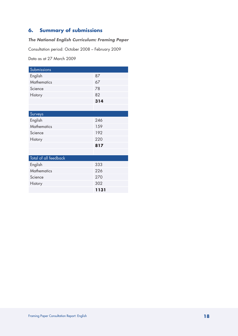# **6. Summary of submissions**

# *The National English Curriculum: Framing Paper*

Consultation period: October 2008 – February 2009

Data as at 27 March 2009

| Submissions           |      |
|-----------------------|------|
| English               | 87   |
| <b>Mathematics</b>    | 67   |
| Science               | 78   |
| History               | 82   |
|                       | 314  |
|                       |      |
| Surveys               |      |
| English               | 246  |
| <b>Mathematics</b>    | 159  |
| Science               | 192  |
| History               | 220  |
|                       | 817  |
|                       |      |
| Total of all feedback |      |
| English               | 333  |
| <b>Mathematics</b>    | 226  |
| Science               | 270  |
| History               | 302  |
|                       | 1131 |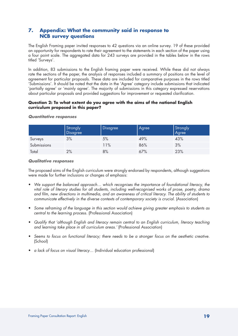# **7. Appendix: What the community said in response to NCB survey questions**

The English Framing paper invited responses to 42 questions via an online survey. 19 of these provided an opportunity for respondents to rate their agreement to the statements in each section of the paper using a four point scale. The aggregated data for 243 surveys are provided in the tables below in the rows titled 'Surveys'.

In addition, 83 submissions to the English framing paper were received. While these did not always rate the sections of the paper, the analysis of responses included a summary of positions on the level of agreement for particular proposals. These data are included for comparative purposes in the rows titled 'Submissions'. It should be noted that the data in the 'Agree' category include submissions that indicated 'partially agree' or 'mainly agree'. The majority of submissions in this category expressed reservations about particular proposals and provided suggestions for improvement or requested clarification.

# **Question 2: To what extent do you agree with the aims of the national English curriculum proposed in this paper?**

|             | Strongly<br>Disagree | <b>Disagree</b> | Agree | Strongly<br>Agree |
|-------------|----------------------|-----------------|-------|-------------------|
| Surveys     | 3%                   | 5%              | 49%   | 43%               |
| Submissions |                      | 11%             | 86%   | 3%                |
| Total       | 2%                   | 8%              | 67%   | 23%               |

# *Quantitative responses*

# *Qualitative responses*

The proposed aims of the English curriculum were strongly endorsed by respondents, although suggestions were made for further inclusions or changes of emphasis:

- We support the balanced approach... which recognises the importance of foundational literacy, the *vital role of literary studies for all students, including well-recognised works of prose, poetry, drama and film, new directions in multimedia, and an awareness of critical literacy. The ability of students to*  communicate effectively in the diverse contexts of contemporary society is crucial. (Association)
- • *Some reframing of the language in this section would achieve giving greater emphasis to students as central to the learning process.* (Professional Association)
- • *Qualify that 'although English and literacy remain central to an English curriculum, literacy teaching and learning take place in all curriculum areas.'* (Professional Association)
- • *Seems to focus on functional literacy; there needs to be a stronger focus on the aesthetic creative.*  (School)
- *a lack of focus on visual literacy...* (Individual education professional)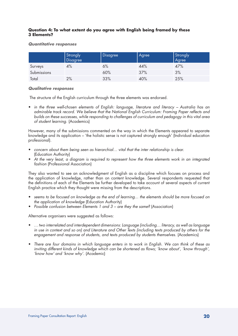# **Question 4: To what extent do you agree with English being framed by these 3 Elements?**

#### *Quantitative responses*

|             | Strongly<br><b>Disagree</b> | Disagree | Agree | Strongly<br>Agree |
|-------------|-----------------------------|----------|-------|-------------------|
| Surveys     | 4%                          | 6%       | 44%   | 47%               |
| Submissions |                             | 60%      | 37%   | 3%                |
| Total       | 2%                          | 33%      | 40%   | 25%               |

#### *Qualitative responses*

The structure of the English curriculum through the three elements was endorsed.

• *in the three well-chosen elements of English: language, literature and literacy – Australia has an admirable track record. We believe that the National English Curriculum: Framing Paper reflects and builds on these successes, while responding to challenges of curriculum and pedagogy in this vital area of student learning.* (Academics)

However, many of the submissions commented on the way in which the Elements appeared to separate knowledge and its application – 'the holistic sense is not captured strongly enough' (Individual education professional).

- • *concern about them being seen as hierarchial… vital that the inter relationship is clear.* (Education Authority)
- At the very least, a diagram is required to represent how the three elements work in an integrated *fashion* (Professional Association)

They also wanted to see an acknowledgment of English as a discipline which focuses on process and the application of knowledge, rather than on content knowledge. Several respondents requested that the definitions of each of the Elements be further developed to take account of several aspects of current English practice which they thought were missing from the descriptions.

- seems to be focused on knowledge as the end of learning... the elements should be more focused on *the application of knowledge* (Education Authority)
- *Possible confusion between Elements 1 and 3 are they the same?* (Association)

Alternative organisers were suggested as follows:

- • *… two interrelated and interdependent dimensions: Language (including… literacy, as well as language in use in context and so on) and Literature and Other Texts (including texts produced by others for the engagement and response of students, and texts produced by students themselves.* (Academics)
- • *There are four domains in which language enters in to work in English. We can think of these as inviting different kinds of knowledge which can be shortened as flows; 'know about', 'know through', 'know how' and 'know why'.* (Academic)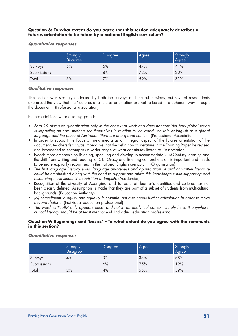# **Question 6: To what extent do you agree that this section adequately describes a futures orientation to be taken by a national English curriculum?**

#### *Quantitative responses*

|             | Strongly | <b>Disagree</b> | Agree | Strongly<br>Agree |
|-------------|----------|-----------------|-------|-------------------|
| Surveys     | 5%       | 6%              | 47%   | 41%               |
| Submissions |          | 8%              | 72%   | 20%               |
| Total       | 3%       | 7%              | 59%   | 31%               |

# *Qualitative responses*

This section was strongly endorsed by both the surveys and the submissions, but several respondents expressed the view that the 'features of a futures orientation are not reflected in a coherent way through the document'. (Professional association)

Further additions were also suggested:

- Para 19 discusses globalisation only in the context of work and does not consider how globalisation is impacting on how students see themselves in relation to the world, the role of English as a global *language and the place of Australian literature in a global context.* (Professional Association)
- In order to support the focus on new media as an integral aspect of the futures orientation of the document, teachers felt it was imperative that the definition of literature in the Framing Paper be revised and broadened to encompass a wider range of what constitutes literature. (Association)
- Needs more emphasis on listening, speaking and viewing to accommodate 21st Century learning and the shift from writing and reading to ICT. 'Oracy and listening comprehension is important and needs to be more explicitly recognised in the national English curriculum. (Organisation)
- The first language literacy skills, language awareness and appreciation of oral or written literature *could be emphasised along with the need to support and affirm this knowledge while supporting and resourcing these students' acquisition of English.* (Academics)
- Recognition of the diversity of Aboriginal and Torres Strait learner's identities and cultures has not been clearly defined. Assumption is made that they are part of a subset of students from multicultural backgrounds. (Education Authority)
- • *(A) commitment to equity and equality is essential but also needs further articulation in order to move beyond rhetoric.* (Individual education professional)
- The word 'critically' only appears once, and not in an analytical context. Surely here, if anywhere, *critical literacy should be at least mentioned?* (Individual education professional)

# **Question 9: Beginnings and 'basics' – To what extent do you agree with the comments in this section?**

# *Quantitative responses*

|             | Strongly<br>Disagree | <b>Disagree</b> | Agree | Strongly<br>Agree |
|-------------|----------------------|-----------------|-------|-------------------|
| Surveys     | 4%                   | 3%              | 35%   | 58%               |
| Submissions |                      | 6%              | 75%   | 19%               |
| Total       | 2%                   | 4%              | 55%   | 39%               |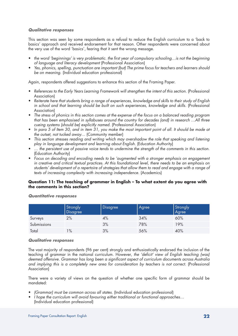# *Qualitative responses*

This section was seen by some respondents as a refusal to reduce the English curriculum to a 'back to basics' approach and received endorsement for that reason. Other respondents were concerned about the very use of the word 'basics', fearing that it sent the wrong message.

- the word 'beginnings' is very problematic. the first year of compulsory schooling…is not the beginning *of language and literacy development* (Professional Association)
- • *Yes, phonics, spelling, punctuation are important (but) The prime focus for teachers and learners should be on meaning.* (Individual education professional)

Again, respondents offered suggestions to enhance this section of the Framing Paper.

- • *References to the Early Years Learning Framework will strengthen the intent of this section.* (Professional **Association**
- • *Reiterate here that students bring a range of experiences, knowledge and skills to their study of English*  in school and that learning should be built on such experiences, knowledge and skills. (Professional Association)
- The stress of phonics in this section comes at the expense of the focus on a balanced reading program *that has been emphasised in syllabuses around the country for decades (and) in research …All three cueing systems (should be) explicitly named.* (Professional Association)
- • *In para 5 of Item 30, and in item 31, you make the most important point of all. It should be made at the outset, not tucked away…* (Community member)
- This section stresses reading and writing which may overshadow the role that speaking and listening *play in language development and learning about English.* (Education Authority)
- ... the persistent use of passive voice tends to undermine the strength of the comments in this section. (Education Authority)
- Focus on decoding and encoding needs to be 'augmented with a stronger emphasis on engagement *in creative and critical textual practices. At this foundational level, there needs to be an emphasis on students' development of a repertoire of strategies that allow them to read and engage with a range of texts of increasing complexity with increasing independence.* (Academics)

# **Question 11: The teaching of grammar in English – To what extent do you agree with the comments in this section?**

|             | Strongly | <b>Disagree</b> | Agree | Strongly<br>Agree |
|-------------|----------|-----------------|-------|-------------------|
| Surveys     | 2%       | 4%              | 34%   | 60%               |
| Submissions |          | 3%              | 78%   | 19%               |
| Total       | $\%$     | 3%              | 56%   | 40%               |

# *Quantitative responses*

#### *Qualitative responses*

The vast majority of respondents (96 per cent) strongly and enthusiastically endorsed the inclusion of the teaching of grammar in the national curriculum. However, *the 'deficit' view of English teaching (was) deemed offensive. Grammar has long been a significant aspect of curriculum documents across Australia and implying this is a completely new area for consideration by teachers is not correct.* (Professional Association)

There were a variety of views on the question of whether one specific form of grammar should be mandated:

- *(Grammar) must be common across all states.* (Individual education professional)
- I hope the curriculum will avoid favouring either traditional or functional approaches... (Individual education professional)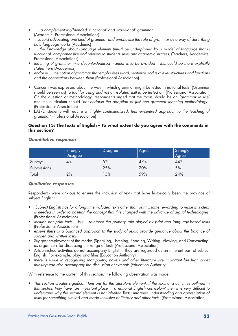- • *… a complementary/blended 'functional' and 'traditional' grammar* (Academic, Professional Associations)
- • *…avoid advocating one kind of grammar and emphasise the role of grammar as a way of describing how language works* (Academic)
- • *… the Knowledge about Language element (must) be underpinned by a model of language that is functional, comprehensive and relevant to students' lives and academic success.* (Teachers, Academics, Professional Associations)
- *teaching of grammar in a decontextualised manner is to be avoided this could be more explicitly stated here* (Academics)
- endorse ... the notion of grammar that emphasises word, sentence and text level structures and functions *and the connections between them* (Professional Association)
- Concern was expressed about the way in which grammar might be tested in national tests. (Grammar should be seen as) *'a tool for using and not an isolated skill to be tested on'* (Professional Association) On the question of methodology, respondents urged that the focus should be on *'grammar in use'*  and the curriculum should *'not endorse the adoption of just one grammar teaching methodology'*. (Professional Association)
- • EAL/D students will require a *'highly contextualized, learner-centred approach to the teaching of grammar'* (Professional Association)

# **Question 13: The texts of English – To what extent do you agree with the comments in this section?**

# *Quantitative responses*

|             | Strongly | <b>Disagree</b> | <b>Agree</b> | Strongly<br>Agree |
|-------------|----------|-----------------|--------------|-------------------|
| Surveys     | 4%       | 5%              | 47%          | 44%               |
| Submissions |          | 25%             | 70%          | 5%                |
| Total       | 2%       | 15%             | 59%          | 24%               |

# *Qualitative responses*

Respondents were anxious to ensure the inclusion of texts that have historically been the province of subject English:

- Subject English has for a long time included texts other than print...some rewording to make this clear *is needed in order to position the concept that this changed with the advance of digital technologies.*  (Professional Association)
- *include non-print texts...* but... reinforce the primary role played by print and language-based texts (Professional Association)
- ensure there is a balanced approach to the study of texts; provide guidance about the balance of *spoken and written tasks*
- Suggest employment of the modes (Speaking, Listening, Reading, Writing, Viewing, and Constructing) as organizers for discussing the range of texts (Professional Association)
- • Arts-enriched activities do not accompany English they are regarded as an inherent part of subject English. For example, plays and films (Education Authority)
- there is value in recognising that poetry, novels and other literature are important but high order *thinking can also accompany the discussion of symbols* (Education Authority)

With reference to the content of this section, the following observation was made:

This section creates significant tensions for the Literature element. If the texts and activities outlined in *this section truly have 'an important place in a national English curriculum' then it is very difficult to*  understand why the second element is not labelled Texts: informed understanding and appreciation of *texts (or something similar) and made inclusive of literary and other texts.* (Professional Association)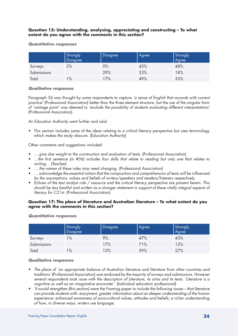# **Question 15: Understanding, analysing, appreciating and constructing – To what extent do you agree with the comments in this section?**

#### *Quantitative responses*

|             | Strongly | <b>Disagree</b> | Agree | Strongly<br>Agree |
|-------------|----------|-----------------|-------|-------------------|
| Surveys     | 2%       | 5%              | 45%   | 48%               |
| Submissions |          | 29%             | 53%   | 18%               |
| Total       | $1\%$    | 17%             | 49%   | 33%               |

# *Qualitative responses*

Paragraph 36 was thought by some respondents to capture *'a sense of English that accords with current practice'* (Professional Association) better than the three element structure, but the use of the singular form of 'vantage point' was deemed to *'exclude the possibility of students evaluating different interpretations'*  (Professional Association).

An Education Authority went further and said:

• This section includes some of the ideas relating to a critical literacy perspective but uses terminology which makes the study obscure. (Education Authority)

Other comments and suggestions included:

- ... give due weight to the construction and evaluation of texts. (Professional Association)
- • *…the first sentence (in #36) includes four skills that relate to reading but only one that relates to writing…* (Teacher)
- *...* the names of these roles may need changing. (Professional Association)
- • *… acknowledge the essential notion that the composition and comprehension of texts will be influenced by the assumptions, values and beliefs of writers/speakers and readers/listeners respectively.*
- • *Echoes of the text analyst role / resource and the critical literacy perspective are present herein. This should be less bashful and written as a stronger statement in support of these vitally integral aspects of literacy for C21st.* (Professional Association)

# **Question 17: The place of literature and Australian literature – To what extent do you agree with the comments in this section?**

#### *Quantitative responses*

|             | Strongly<br>Disagree | <b>Disagree</b> | Agree | Strongly<br>Agree |
|-------------|----------------------|-----------------|-------|-------------------|
| Surveys     | $1\%$                | 9%              | 47%   | 43%               |
| Submissions |                      | 17%             | 71%   | 12%               |
| Total       | $1\%$                | 13%             | 59%   | 27%               |

# *Qualitative responses*

- • *The place of 'an appropriate balance of Australian literature and literature from other countries and traditions'* (Professional Association) *was endorsed by the majority of surveys and submissions. However several respondents took issue with the description of Literature, its aims and its texts. 'Literature is a cognitive as well as an imaginative encounter'.* (Individual education professional)
- • *'It would strengthen (this section) were the Framing paper to include the following issues that literature can provide students with: enjoyment, greater information about an deeper understanding of the human experience; enhanced awareness of socio-cultural values, attitudes and beliefs; a richer understanding of how, in diverse ways, writers use language;*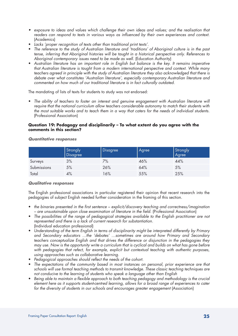- • exposure to ideas and values which challenge their own ideas and values; and the realisation that *readers can respond to texts in various ways as influenced by their own experiences and context.* (Academics)
- • *Lacks 'proper recognition of texts other than traditional print texts'.*
- The reference to the study of Australian literature and 'traditions' of Aboriginal culture is in the past *tense, inferring that Aboriginal histories will be taught in a historical perspective only. References to Aboriginal contemporary issues need to be made as well.* (Education Authority)
- • *Australian literature has an important role in English but balance is the key. It remains imperative that Australian literature is taught from a modern international perspective and context. While many teachers agreed in principle with the study of Australian literature they also acknowledged that there is debate over what constitutes 'Australian literature', especially contemporary Australian literature and commented on how much of our traditional literature is in fact culturally outdated.*

The mandating of lists of texts for students to study was not endorsed:

• The ability of teachers to foster an interest and genuine engagement with Australian literature will *require that the national curriculum allow teachers considerable autonomy to match their students with the most suitable works and to teach them in a way that caters for the needs of individual students.*  (Professional Association)

# **Question 19: Pedagogy and disciplinarily – To what extent do you agree with the comments in this section?**

|             | Strongly<br>Disagree | <b>Disagree</b> | Agree | Strongly<br>Agree |
|-------------|----------------------|-----------------|-------|-------------------|
| Surveys     | 3%                   | 7%              | 46%   | 44%               |
| Submissions | 5%                   | 26%             | 64%   | 5%                |
| Total       | 4%                   | 16%             | 55%   | 25%               |

*Quantitative responses*

# *Qualitative responses*

The English professional associations in particular registered their opinion that recent research into the pedagogies of subject English needed further consideration in the framing of this section.

- the binaries presented in the first sentence explicit/discovery teaching and correctness/imagination *– are unsustainable upon close examination of literature in the field.* (Professional Association)
- The possibilities of the range of pedagogical strategies available to the English practitioner are not *represented and there is a lack of current research for substantiation.* (Individual education professional)
- Understanding of the term English in terms of disciplinarity might be interpreted differently by Primary *and Secondary educators …the 'debates' …sometimes are around how Primary and Secondary teachers conceptualize English and that drives the difference or disjunction in the pedagogies they may use. Now is the opportunity write a curriculum that is cyclical and builds on what has gone before with pedagogies that refect, for example, explicit but contextual teaching with authentic purposes, using approaches such as collaborative learning.*
- • *Pedagogical approaches should reflect the needs of the cohort.*
- The expectations of the community based in most instances on personal, prior experience are that *schools will use formal teaching methods to transmit knowledge. These classic teaching techniques are not conducive to the learning of students who speak a language other than English*
- Being able to maintain a flexible approach to both teaching pedagogy and methodology is the crucial *element here as it supports student-centred learning, allows for a broad range of experiences to cater*  for the diversity of students in our schools and encourages greater engagement (Association)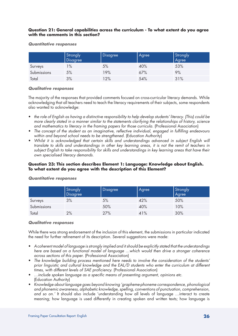# **Question 21: General capabilities across the curriculum - To what extent do you agree with the comments in this section?**

#### *Quantitative responses*

|             | Strongly | <b>Disagree</b> | Agree | Strongly<br>Agree |
|-------------|----------|-----------------|-------|-------------------|
| Surveys     | $1\%$    | 5%              | 40%   | 53%               |
| Submissions | 5%       | 19%             | 67%   | 9%                |
| Total       | 3%       | 12%             | 54%   | 31%               |

# *Qualitative responses*

The majority of the responses that provided comments focused on cross-curricular literacy demands. While acknowledging that all teachers need to teach the literacy requirements of their subjects, some respondents also wanted to acknowledge:

- • *the role of English as having a distinctive responsibility to help develop students' literacy. (This) could be more clearly stated in a manner similar to the statements clarifying the relationships of history, science and mathematics to literacy in the framing papers for those curricula.* (Professional Association)
- • *The concept of the student as an imaginative, reflective individual, engaged in fulfilling endeavours*  within and beyond school needs to be strengthened. (Education Authority)
- Whilst it is acknowledged that certain skills and understandings advanced in subject English will *translate to skills and understandings in other key learning areas, it is not the remit of teachers in subject English to take responsibility for skills and understandings in key learning areas that have their own specialised literacy demands.*

# **Question 23: This section describes Element 1: Language: Knowledge about English. To what extent do you agree with the description of this Element?**

|             | Strongly<br>Disagree | <b>Disagree</b> | Agree | Strongly<br>Agree |
|-------------|----------------------|-----------------|-------|-------------------|
| Surveys     | 3%                   | 5%              | 42%   | 50%               |
| Submissions |                      | 50%             | 40%   | 10%               |
| Total       | 2%                   | 27%             | 41%   | 30%               |

# *Quantitative responses*

#### *Qualitative responses*

While there was strong endorsement of the inclusion of this element, the submissions in particular indicated the need for further refinement of its description. Several suggestions were made:

- • *A coherent model of language is strongly implied and it should be explicitly stated that the understandings here are based on a functional model of language …which would then drive a stronger coherence across sections of this paper.* (Professional Association)
- The knowledge building process mentioned here needs to involve the consideration of the students' *prior linguistic and cultural knowledge and the EAL/D students who enter the curriculum at different times, with different levels of SAE proficiency.* (Professional Association)
- • *…include spoken language as a specific means of presenting argument, opinions etc.*  (Education Authority)
- • *Knowledge about language goes beyond knowing 'grapheme-phoneme correspondence, phonological and phonemic awareness, alphabetic knowledge, spelling, conventions of punctuation, comprehension, and so on.'* It should also include 'understanding how all levels of language …interact to create meaning; how language is used differently in creating spoken and written texts; how language is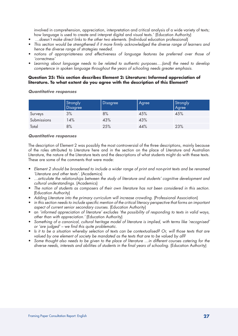involved in comprehension, appreciation, interpretation and critical analysis of a wide variety of texts; how language is used to create and interpret digital and visual texts.' (Education Authority)

- ...doesn't make direct links to the other two elements. (Individual education professional)
- • *This section would be strengthened if it more firmly acknowledged the diverse range of learners and hence the diverse range of strategies needed.*
- notions of appropriateness and effectiveness of language features be preferred over those of *'correctness'*
- • *Learning about language needs to be related to authentic purposes….(and) the need to develop competence in spoken language throughout the years of schooling needs greater emphasis.*

# **Question 25: This section describes Element 2: Literature: Informed appreciation of literature. To what extent do you agree with the description of this Element?**

#### *Quantitative responses*

|             | Strongly<br>Disagree | <b>Disagree</b> | Agree | Strongly<br>Agree |
|-------------|----------------------|-----------------|-------|-------------------|
| Surveys     | 3%                   | 8%              | 45%   | 45%               |
| Submissions | 14%                  | 43%             | 43%   |                   |
| Total       | 8%                   | 25%             | 44%   | 23%               |

# *Quantitative responses*

The description of Element 2 was possibly the most controversial of the three descriptions, mainly because of the roles attributed to Literature here and in the section on the place of Literature and Australian Literature, the nature of the Literature texts and the descriptions of what students might do with these texts. These are some of the comments that were made:

- Element 2 should be broadened to include a wider range of print and non-print texts and be renamed *'Literature and other texts'.* (Academics)
- • *…articulate the relationships between the study of literature and students' cognitive development and cultural understandings.* (Academics)
- The notion of students as composers of their own literature has not been considered in this section. (Education Authority)
- • *Adding Literature into the primary curriculum will increase crowding.* (Professional Association)
- • *in this section needs to include specific mention of the critical literacy perspective that forms an important aspect of current senior secondary courses.* (Education Authority)
- • an *'informed appreciation of literature' excludes 'the possibility of responding to texts in valid ways, other than with appreciation.'* (Education Authority)
- Something of a canonical, cultural heritage model of literature is implied, with terms like 'recognised' *or 'are judged' – we find this quite problematic.*
- Is it to be a situation whereby selection of texts can be contextualised? Or, will those texts that are *valued by one element of society be mandated as the texts that are to be valued by all?*
- Some thought also needs to be given to the place of literature ...in different courses catering for the diverse needs, interests and abilities of students in the final years of schooling. (Education Authority)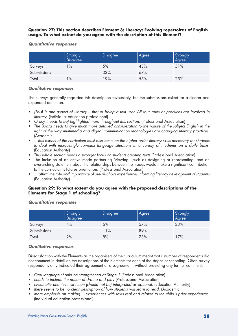# **Question 27: This section describes Element 3: Literacy: Evolving repertoires of English usage. To what extent do you agree with the description of this Element?**

#### *Quantitative responses*

|             | Strongly      | <b>Disagree</b> | Agree | Strongly<br>Agree |
|-------------|---------------|-----------------|-------|-------------------|
| Surveys     | $\frac{9}{6}$ | 5%              | 43%   | 51%               |
| Submissions |               | 33%             | 67%   |                   |
| Total       | $1\%$         | 19%             | 55%   | 25%               |

# *Qualitative responses*

The surveys generally regarded this description favourably, but the submissions asked for a clearer and expanded definition.

- • *(This) is one aspect of literacy that of being a text user. All four roles or practices are involved in literacy.* (Individual education professional)
- • *Oracy (needs to be) highlighted more throughout this section.* (Professional Association)
- • *The Board needs to give much more detailed consideration to the nature of the subject English in the*  light of the way multimedia and digital communication technologies are changing literacy practices. (Academic)
- • *…this aspect of the curriculum must also focus on the higher order literacy skills necessary for students to deal with increasingly complex language situations in a variety of mediums on a daily basis.*  (Education Authority)
- This whole section needs a stronger focus on students creating texts (Professional Association)
- The inclusion of an active mode partnering 'viewing' (such as designing or representing) and an overarching statement about the relationships between the modes would make a significant contribution to the curriculum's futures orientation. (Professional Association)
- ... affirm the role and importance of out-of-school experiences informing literacy development of students (Education Authority)

# **Question 29: To what extent do you agree with the proposed descriptions of the Elements for Stage 1 of schooling?**

|             | Strongly | <b>Disagree</b> | Agree | Strongly<br>  Agree |
|-------------|----------|-----------------|-------|---------------------|
| Surveys     | 4%       | 6%              | 57%   | 33%                 |
| Submissions |          | 11%             | 89%   |                     |
| Total       | 2%       | 8%              | 73%   | 17%                 |

#### *Quantitative responses*

# *Qualitative responses*

Dissatisfaction with the Elements as the organisers of the curriculum meant that a number of respondents did not comment in detail on the descriptions of the Elements for each of the stages of schooling. Often survey respondents only indicated their agreement or disagreement, without providing any further comment.

- • *Oral language should be strengthened at Stage 1* (Professional Association)
- needs to include the notion of drama and play (Professional Association)
- systematic phonics instruction (should not be) interpreted as optional. (Education Authority)
- there seems to be no clear description of how students will learn to read. (Academic)
- more emphasis on making... experiences with texts real and related to the child's prior experiences. (Individual education professional)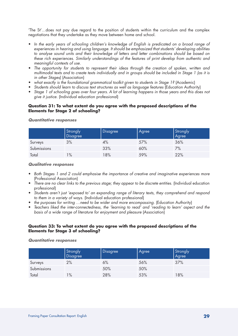'The St'…does not pay due regard to the position of students within the curriculum and the complex negotiations that they undertake as they move between home and school.

- In the early years of schooling children's knowledge of English is predicated on a broad range of *experiences in hearing and using language. It should be emphasized that students' developing abilities to analyse sound units and their knowledge of letters and letter combinations should be based on these rich experiences. Similarly understandings of the features of print develop from authentic and meaningful contexts of use.*
- • *The opportunity for students to represent their ideas through the creation of spoken, written and multimodal texts and to create texts individually and in groups should be included in Stage 1 (as it is in other Stages)* (Association)
- • *what exactly is the foundational grammatical toolkit given to students in Stage 1?* (Academic)
- • *Students should learn to discuss text structures as well as language features* (Education Authority)
- Stage 1 of schooling goes over four years. A lot of learning happens in those years and this does not *give it justice.* (Individual education professional)

# **Question 31: To what extent do you agree with the proposed descriptions of the Elements for Stage 2 of schooling?**

|             | Strongly | Disagree | Agree | Strongly<br>Agree |
|-------------|----------|----------|-------|-------------------|
| Surveys     | 3%       | 4%       | 57%   | 36%               |
| Submissions |          | 33%      | 60%   | 7%                |
| Total       | $1\%$    | 18%      | 59%   | 22%               |

#### *Quantitative responses*

#### *Qualitative responses*

- Both Stages 1 and 2 could emphasise the importance of creative and imaginative experiences more (Professional Association)
- There are no clear links to the previous stage; they appear to be discrete entities. (Individual education professional)
- • *Students aren't just 'exposed to' an expanding range of literary texts, they comprehend and respond to them in a variety of ways.* (Individual education professional)
- the purposes for writing ... need to be wider and more encompassing. (Education Authority)
- Teachers liked the inter-connectedness, the 'learning to read' and 'reading to learn' aspect and the *basis of a wide range of literature for enjoyment and pleasure* (Association)

# **Question 33: To what extent do you agree with the proposed descriptions of the Elements for Stage 3 of schooling?**

#### *Quantitative responses*

|             | Strongly<br>Disagree | Disagree | Agree | Strongly<br>Agree |
|-------------|----------------------|----------|-------|-------------------|
| Surveys     | 2%                   | 6%       | 56%   | 37%               |
| Submissions |                      | 50%      | 50%   |                   |
| Total       | $1\%$                | 28%      | 53%   | 18%               |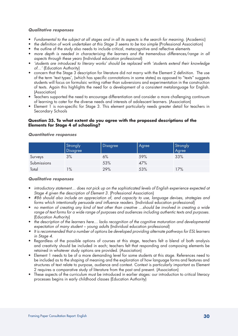#### *Qualitative responses*

- *Fundamental to the subiect at all stages and in all its aspects is the search for meaning.* (Academic)
- the definition of work undertaken at this Stage 3 seems to be too simple (Professional Association)
- the outline of the study also needs to include critical, metacognitive and reflective elements
- more depth is needed in characterising the learners and the tremendous differences/range in all *aspects through these years* (Individual education professional)
- • *'students are introduced to literary works' should be replaced with 'students extend their knowledge of…'* (Education Authority)
- • concern that the Stage 3 description for literature did not marry with the Element 2 definition. The use of the term 'text types', (which has specific connotations in some states) as opposed to "texts" suggests students will focus on formulaic writing rather than subversions and experimentation in the construction of texts. Again this highlights the need for a development of a consistent metalanguage for English. (Association)
- Teachers supported the need to encourage differentiation and consider a more challenging continuum of learning to cater for the diverse needs and interests of adolescent learners. (Association)
- Element 1 is non-specific for Stage 3. This element particularly needs greater detail for teachers in Secondary Schools

### **Question 35. To what extent do you agree with the proposed descriptions of the Elements for Stage 4 of schooling?**

|             | Strongly<br><b>Disagree</b> | Disagree | Agree | Strongly<br>Agree |
|-------------|-----------------------------|----------|-------|-------------------|
| Surveys     | 3%                          | 6%       | 59%   | 33%               |
| Submissions |                             | 53%      | 47%   |                   |
| Total       | $1\%$                       | 29%      | 53%   | 17%               |

#### *Quantitative responses*

# *Qualitative responses*

- • *introductory statement… does not pick up on the sophisticated levels of English experience expected at Stage 4 given the description of Element 3.* (Professional Association)
- • *#86 should also include an appreciation of, and capacity to use, language devises, strategies and forms which intentionally persuade and influence readers.* (Individual education professional)
- no mention of creating any kind of text other than creative ...should be involved in creating a wide *range of text forms for a wide range of purposes and audiences including authentic texts and purposes.* (Education Authority)
- the description of the learners here... lacks recognition of the cognitive maturation and developmental *expectation of many student – young adults* (Individual education professional)
- It is recommended that a number of options be developed providing alternate pathways for ESL learners *in Stage 4.*
- Regardless of the possible options of courses at this stage, teachers felt a blend of both analysis and creativity should be included in each; teachers felt that responding and composing elements be retained in whatever study options are provided. (Association)
- Element 1 needs to be of a more demanding level for some students at this stage. References need to be included as to the shaping of meaning and the exploration of how language forms and features and structures of text relate to purpose, audience and context. Context is particularly important as Element 2 requires a comparative study of literature from the past and present. (Association)
- These aspects of the curriculum must be introduced in earlier stages: our introduction to critical literacy processes begins in early childhood classes (Education Authority)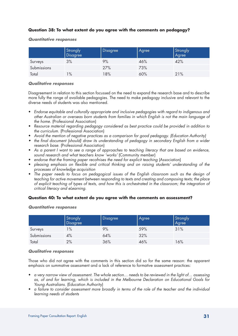# **Question 38: To what extent do you agree with the comments on pedagogy?**

### *Quantitative responses*

|             | Strongly<br>Disagree | Disagree | Agree | Strongly<br>Agree |
|-------------|----------------------|----------|-------|-------------------|
| Surveys     | 3%                   | 9%       | 46%   | 42%               |
| Submissions |                      | 27%      | 73%   |                   |
| Total       | $1\%$                | 18%      | 60%   | 21%               |

#### *Qualitative responses*

Disagreement in relation to this section focussed on the need to expand the research base and to describe more fully the range of available pedagogies. The need to make pedagogy inclusive and relevant to the diverse needs of students was also mentioned.

- • *Endorse equitable and culturally appropriate and inclusive pedagogies with regard to indigenous and other Australian or overseas born students from families in which English is not the main language of the home.* (Professional Association)
- • *Resource material regarding pedagogy considered as best practice could be provided in addition to the curriculum.* (Professional Association)
- • *Avoid the mention of negative practices as a comparison for good pedagogy. (Education Authority)*
- the final document (should) draw its understanding of pedagogy in secondary English from a wider *research base.* (Professional Association)
- As a parent I want to see a range of approaches to teaching literacy that are based on evidence, sound research and what teachers know 'works' (Community member)
- endorse that the framing paper recofnises the need for explicit teaching (Association)
- • *pleasing emphasis on flexible and critical thinking and on raising students' understanding of the processes of knowledge acquisition*
- The paper needs to focus on pedagogical issues of the English classroom such as the design of *teaching for active movement between responding to texts and creating and composing texts; the place of explicit teaching of types of texts, and how this is orchestrated in the classroom; the integration of critical literacy and eLearning.*

# **Question 40: To what extent do you agree with the comments on assessment?**

|             | Strongly<br>Disagree | <b>Disagree</b> | Agree | Strongly<br>Agree |
|-------------|----------------------|-----------------|-------|-------------------|
| Surveys     | $\frac{9}{6}$        | 9%              | 59%   | 31%               |
| Submissions | 4%                   | 64%             | 32%   |                   |
| Total       | 2%                   | 36%             | 46%   | 16%               |

# *Quantitative responses*

# *Qualitative responses*

Those who did not agree with the comments in this section did so for the same reason: the apparent emphasis on summative assessment and a lack of reference to formative assessment practices:

- • *a very narrow view of assessment. The whole section… needs to be reviewed in the light of… assessing as, of and for learning, which is included in the Melbourne Declaration on Educational Goals for Young Australians.* (Education Authority)
- • *a failure to consider assessment more broadly in terms of the role of the teacher and the individual learning needs of students*